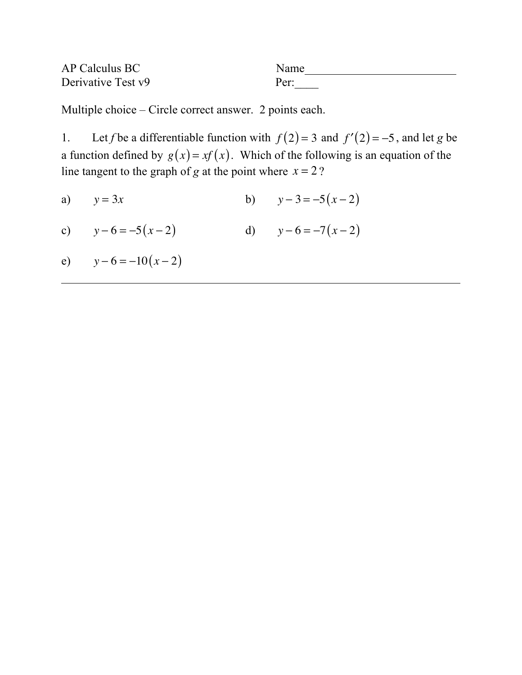| AP Calculus BC     | Name |
|--------------------|------|
| Derivative Test v9 | Per: |

Multiple choice – Circle correct answer. 2 points each.

1. Let *f* be a differentiable function with  $f(2) = 3$  and  $f'(2) = -5$ , and let *g* be a function defined by  $g(x) = xf(x)$ . Which of the following is an equation of the line tangent to the graph of *g* at the point where  $x = 2$ ?

a)  $y = 3x$  b)  $y - 3 = -5(x - 2)$ 

- c)  $y-6 = -5(x-2)$  d)  $y-6 = -7(x-2)$
- e)  $y 6 = -10(x 2)$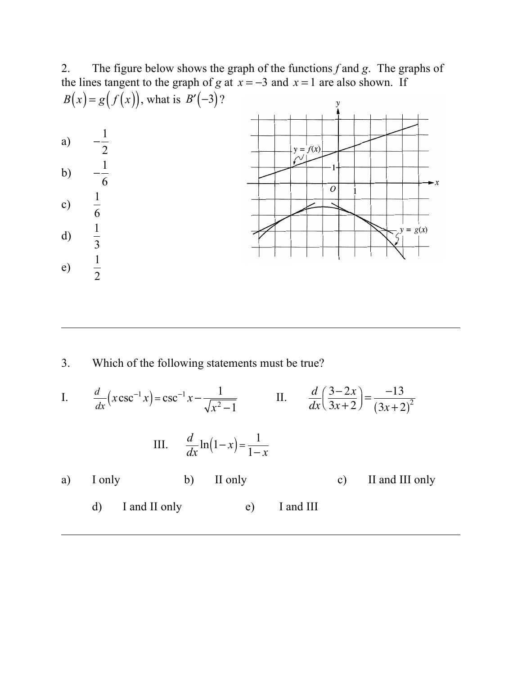2. The figure below shows the graph of the functions *f* and *g*. The graphs of the lines tangent to the graph of *g* at  $\overline{x} = -3$  and  $\overline{x} = 1$  are also shown. If *B*(*x*) = *g*(*f*(*x*)), what is *B*′(-3)? a)  $-\frac{1}{2}$  $y = f(x)$ 2 b)  $-\frac{1}{6}$ 6  $\overline{o}$ c)  $\frac{1}{e}$ 6 d)  $\frac{1}{2}$  $y = g(x)$ 3 e)  $\frac{1}{2}$ 2

3. Which of the following statements must be true?

I. 
$$
\frac{d}{dx}(x\csc^{-1}x) = \csc^{-1}x - \frac{1}{\sqrt{x^2 - 1}}
$$
 II. 
$$
\frac{d}{dx}(\frac{3 - 2x}{3x + 2}) = \frac{-13}{(3x + 2)^2}
$$
  
III. 
$$
\frac{d}{dx}\ln(1 - x) = \frac{1}{1 - x}
$$
  
a) I only b) II only c) II and III only d) I and II only e) I and III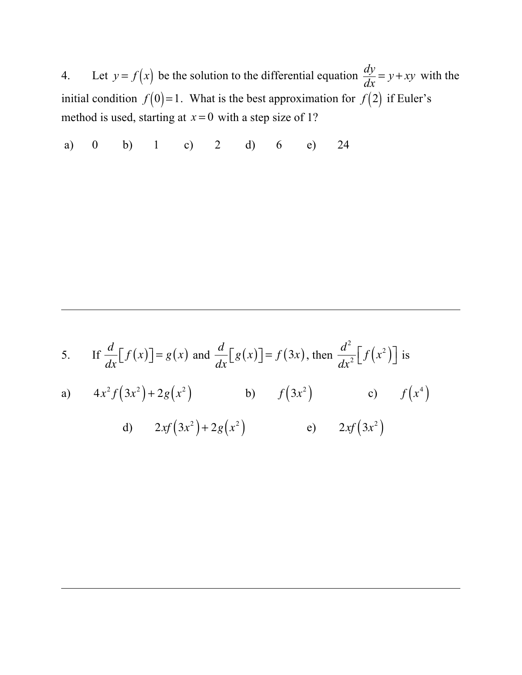4. Let  $y = f(x)$  be the solution to the differential equation  $\frac{dy}{dx} = y + xy$  with the initial condition  $f(0)=1$ . What is the best approximation for  $f(2)$  if Euler's method is used, starting at  $x = 0$  with a step size of 1?

a) 0 b) 1 c) 2 d) 6 e) 24

5. If 
$$
\frac{d}{dx}[f(x)] = g(x)
$$
 and  $\frac{d}{dx}[g(x)] = f(3x)$ , then  $\frac{d^2}{dx^2}[f(x^2)]$  is  
\na)  $4x^2 f(3x^2) + 2g(x^2)$  b)  $f(3x^2)$  c)  $f(x^4)$   
\nd)  $2xf(3x^2) + 2g(x^2)$  e)  $2xf(3x^2)$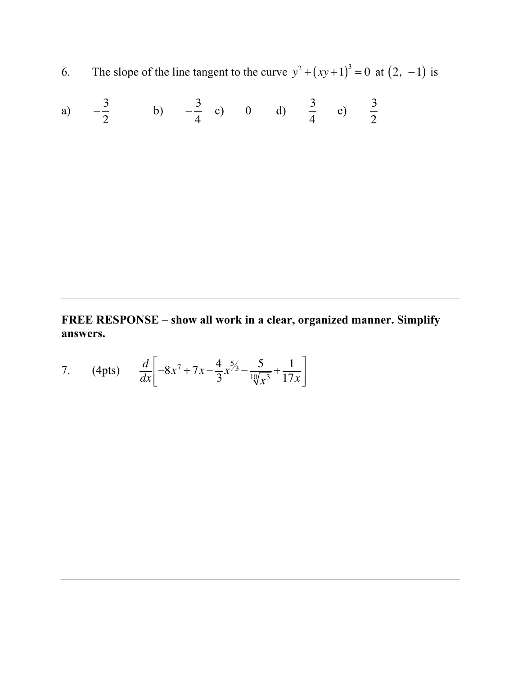6. The slope of the line tangent to the curve  $y^2 + (xy+1)^3 = 0$  at  $(2, -1)$  is

a) 
$$
-\frac{3}{2}
$$
 b)  $-\frac{3}{4}$  c) 0 d)  $\frac{3}{4}$  e)  $\frac{3}{2}$ 

**FREE RESPONSE – show all work in a clear, organized manner. Simplify answers.**

7. (4pts) 
$$
\frac{d}{dx}\left[-8x^7 + 7x - \frac{4}{3}x^{\frac{5}{3}} - \frac{5}{\frac{10}{x^3}} + \frac{1}{17x}\right]
$$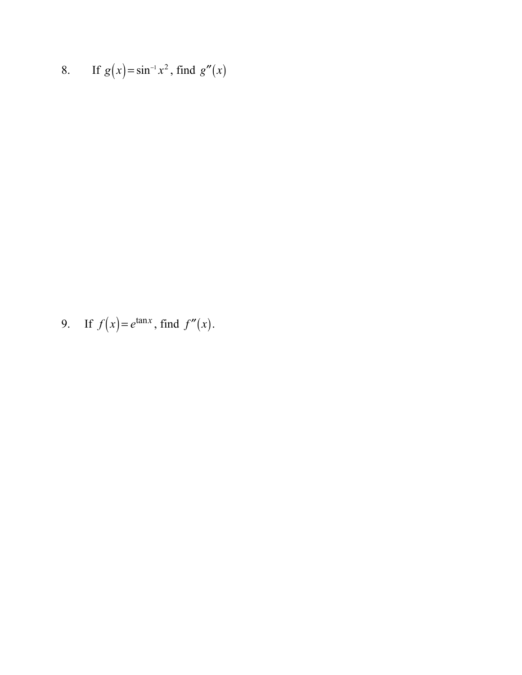8. If  $g(x) = \sin^{-1} x^2$ , find  $g''(x)$ 

9. If 
$$
f(x) = e^{\tan x}
$$
, find  $f''(x)$ .